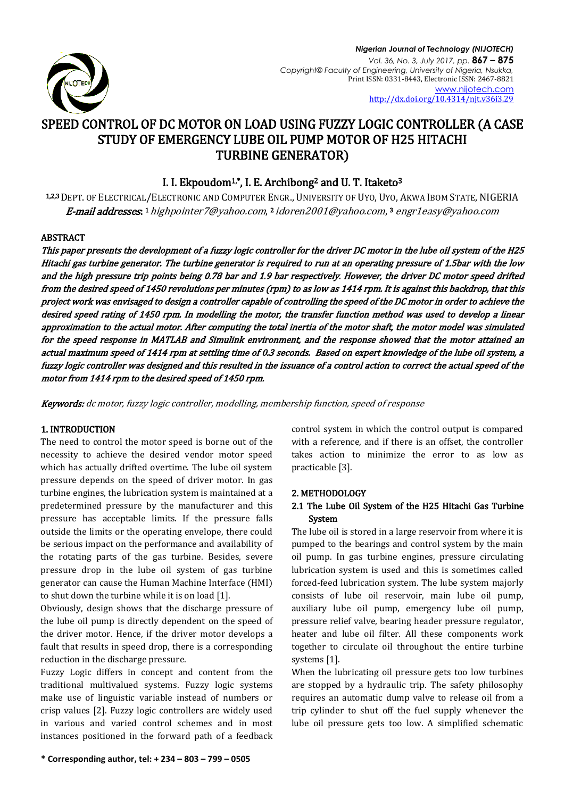

*Nigerian Journal of Technology (NIJOTECH) Vol. 36, No. 3, July 2017, pp.* **867 – 875** *Copyright© Faculty of Engineering, University of Nigeria, Nsukka,*  Print ISSN: 0331-8443, Electronic ISSN: 2467-8821 [www.nijotech.com](http://www.nijotech.com/) <http://dx.doi.org/10.4314/njt.v36i3.29>

# SPEED CONTROL OF DC MOTOR ON LOAD USING FUZZY LOGIC CONTROLLER (A CASE STUDY OF EMERGENCY LUBE OIL PUMP MOTOR OF H25 HITACHI TURBINE GENERATOR)

# I. I. Ekpoudom<sup>1,\*</sup>, I. E. Archibong<sup>2</sup> and U. T. Itaketo<sup>3</sup>

1,2,3 DEPT. OF ELECTRICAL/ELECTRONIC AND COMPUTER ENGR., UNIVERSITY OF UYO, UYO, AKWA IBOM STATE, NIGERIA **E-mail addresses.** 1 [highpointer7@yahoo.com](mailto:highpointer7@yahoo.com), 2 [idoren2001@yahoo.com](mailto:idoren2001@yahoo.com), 3 [engr1easy@yahoo.com](mailto:engr1easy@yahoo.com)

# **ABSTRACT**

This paper presents the development of a fuzzy logic controller for the driver DC motor in the lube oil system of the H25 Hitachi gas turbine generator. The turbine generator is required to run at an operating pressure of 1.5bar with the low and the high pressure trip points being 0.78 bar and 1.9 bar respectively. However, the driver DC motor speed drifted from the desired speed of 1450 revolutions per minutes (rpm) to as low as 1414 rpm. It is against this backdrop, that this project work was envisaged to design a controller capable of controlling the speed of the DC motor in order to achieve the desired speed rating of 1450 rpm. In modelling the motor, the transfer function method was used to develop a linear approximation to the actual motor. After computing the total inertia of the motor shaft, the motor model was simulated for the speed response in MATLAB and Simulink environment, and the response showed that the motor attained an actual maximum speed of 1414 rpm at settling time of 0.3 seconds. Based on expert knowledge of the lube oil system, a fuzzy logic controller was designed and this resulted in the issuance of a control action to correct the actual speed of the motor from 1414 rpm to the desired speed of 1450 rpm.

Keywords: dc motor, fuzzy logic controller, modelling, membership function, speed of response

# 1. INTRODUCTION

The need to control the motor speed is borne out of the necessity to achieve the desired vendor motor speed which has actually drifted overtime. The lube oil system pressure depends on the speed of driver motor. In gas turbine engines, the lubrication system is maintained at a predetermined pressure by the manufacturer and this pressure has acceptable limits. If the pressure falls outside the limits or the operating envelope, there could be serious impact on the performance and availability of the rotating parts of the gas turbine. Besides, severe pressure drop in the lube oil system of gas turbine generator can cause the Human Machine Interface (HMI) to shut down the turbine while it is on load [1].

Obviously, design shows that the discharge pressure of the lube oil pump is directly dependent on the speed of the driver motor. Hence, if the driver motor develops a fault that results in speed drop, there is a corresponding reduction in the discharge pressure.

Fuzzy Logic differs in concept and content from the traditional multivalued systems. Fuzzy logic systems make use of linguistic variable instead of numbers or crisp values [2]. Fuzzy logic controllers are widely used in various and varied control schemes and in most instances positioned in the forward path of a feedback

control system in which the control output is compared with a reference, and if there is an offset, the controller takes action to minimize the error to as low as practicable [3].

#### 2. METHODOLOGY

# 2.1 The Lube Oil System of the H25 Hitachi Gas Turbine System

The lube oil is stored in a large reservoir from where it is pumped to the bearings and control system by the main oil pump. In gas turbine engines, pressure circulating lubrication system is used and this is sometimes called forced-feed lubrication system. The lube system majorly consists of lube oil reservoir, main lube oil pump, auxiliary lube oil pump, emergency lube oil pump, pressure relief valve, bearing header pressure regulator, heater and lube oil filter. All these components work together to circulate oil throughout the entire turbine systems [1].

When the lubricating oil pressure gets too low turbines are stopped by a hydraulic trip. The safety philosophy requires an automatic dump valve to release oil from a trip cylinder to shut off the fuel supply whenever the lube oil pressure gets too low. A simplified schematic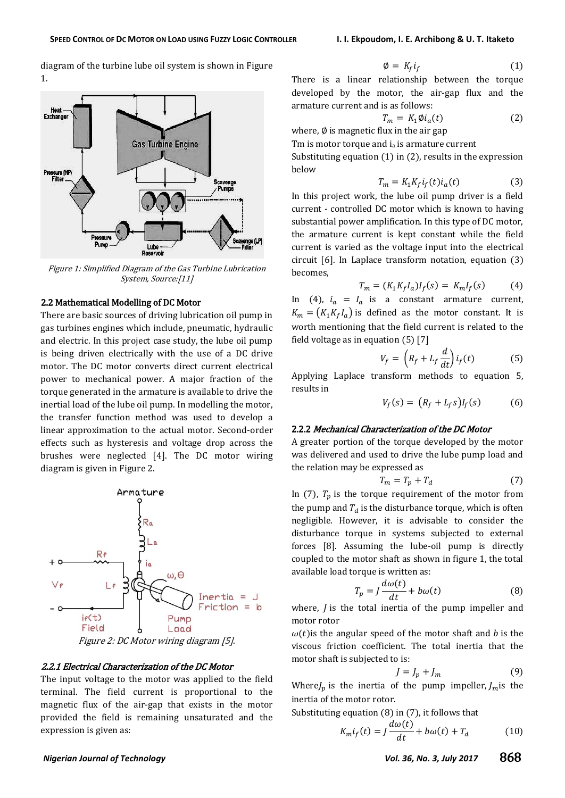diagram of the turbine lube oil system is shown in Figure 1.



Figure 1: Simplified Diagram of the Gas Turbine Lubrication System, Source:[11]

#### 2.2 Mathematical Modelling of DC Motor

There are basic sources of driving lubrication oil pump in gas turbines engines which include, pneumatic, hydraulic and electric. In this project case study, the lube oil pump is being driven electrically with the use of a DC drive motor. The DC motor converts direct current electrical power to mechanical power. A major fraction of the torque generated in the armature is available to drive the inertial load of the lube oil pump. In modelling the motor, the transfer function method was used to develop a linear approximation to the actual motor. Second-order effects such as hysteresis and voltage drop across the brushes were neglected [4]. The DC motor wiring diagram is given in Figure 2.



#### 2.2.1 Electrical Characterization of the DC Motor

The input voltage to the motor was applied to the field terminal. The field current is proportional to the magnetic flux of the air-gap that exists in the motor provided the field is remaining unsaturated and the expression is given as:

$$
\emptyset = K_f i_f \tag{1}
$$

There is a linear relationship between the torque developed by the motor, the air-gap flux and the armature current and is as follows:

$$
T_m = K_1 \emptyset i_a(t) \tag{2}
$$

where,  $\emptyset$  is magnetic flux in the air gap

Tm is motor torque and  $i_a$  is armature current

Substituting equation (1) in (2), results in the expression below

$$
T_m = K_1 K_f i_f(t) i_a(t) \tag{3}
$$

In this project work, the lube oil pump driver is a field current - controlled DC motor which is known to having substantial power amplification. In this type of DC motor, the armature current is kept constant while the field current is varied as the voltage input into the electrical circuit [6]. In Laplace transform notation, equation (3) becomes,

$$
T_m = (K_1 K_f I_a) I_f(s) = K_m I_f(s)
$$
 (4)

In (4),  $i_a = I_a$  is a constant armature current,  $K_m = (K_1 K_f I_a)$  is defined as the motor constant. It is worth mentioning that the field current is related to the field voltage as in equation (5) [7]

$$
V_f = \left(R_f + L_f \frac{d}{dt}\right) i_f(t) \tag{5}
$$

Applying Laplace transform methods to equation 5, results in

$$
V_f(s) = (R_f + L_f s)I_f(s) \tag{6}
$$

# 2.2.2 Mechanical Characterization of the DC Motor

A greater portion of the torque developed by the motor was delivered and used to drive the lube pump load and the relation may be expressed as

$$
T_m = T_p + T_d \tag{7}
$$

In (7),  $T_p$  is the torque requirement of the motor from the pump and  $T_d$  is the disturbance torque, which is often negligible. However, it is advisable to consider the disturbance torque in systems subjected to external forces [8]. Assuming the lube-oil pump is directly coupled to the motor shaft as shown in figure 1, the total available load torque is written as:

$$
T_p = J \frac{d\omega(t)}{dt} + b\omega(t) \tag{8}
$$

where,  $\overline{I}$  is the total inertia of the pump impeller and motor rotor

 $\omega(t)$  is the angular speed of the motor shaft and b is the viscous friction coefficient. The total inertia that the motor shaft is subjected to is:

$$
J = J_p + J_m \tag{9}
$$

Where  $J_p$  is the inertia of the pump impeller,  $J_m$  is the inertia of the motor rotor.

Substituting equation (8) in (7), it follows that

$$
K_m i_f(t) = J \frac{d\omega(t)}{dt} + b\omega(t) + T_d \tag{10}
$$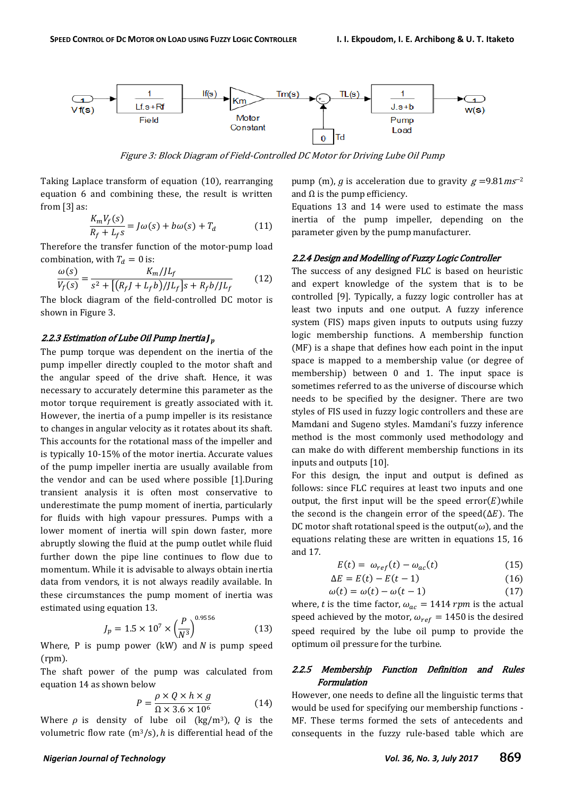

Figure 3: Block Diagram of Field-Controlled DC Motor for Driving Lube Oil Pump

Taking Laplace transform of equation (10), rearranging equation 6 and combining these, the result is written from [3] as:

$$
\frac{K_m V_f(s)}{R_f + L_f s} = J\omega(s) + b\omega(s) + T_d \tag{11}
$$

Therefore the transfer function of the motor-pump load combination, with  $T_d = 0$  is:

$$
\frac{\omega(s)}{V_f(s)} = \frac{K_m/JL_f}{s^2 + [(R_f J + L_f b)/JL_f]s + R_f b/JL_f}
$$
(12)

The block diagram of the field-controlled DC motor is shown in Figure 3.

#### 2.2.3 Estimation of Lube Oil Pump Inertia J $_p$

The pump torque was dependent on the inertia of the pump impeller directly coupled to the motor shaft and the angular speed of the drive shaft. Hence, it was necessary to accurately determine this parameter as the motor torque requirement is greatly associated with it. However, the inertia of a pump impeller is its resistance to changes in angular velocity as it rotates about its shaft. This accounts for the rotational mass of the impeller and is typically 10-15% of the motor inertia. Accurate values of the pump impeller inertia are usually available from the vendor and can be used where possible [1].During transient analysis it is often most conservative to underestimate the pump moment of inertia, particularly for fluids with high vapour pressures. Pumps with a lower moment of inertia will spin down faster, more abruptly slowing the fluid at the pump outlet while fluid further down the pipe line continues to flow due to momentum. While it is advisable to always obtain inertia data from vendors, it is not always readily available. In these circumstances the pump moment of inertia was estimated using equation 13.

$$
J_p = 1.5 \times 10^7 \times \left(\frac{P}{N^3}\right)^{0.9556}
$$
 (13)

Where, P is pump power (kW) and N is pump speed (rpm).

The shaft power of the pump was calculated from equation 14 as shown below

$$
P = \frac{\rho \times Q \times h \times g}{\Omega \times 3.6 \times 10^6}
$$
 (14)

Where  $\rho$  is density of lube oil (kg/m<sup>3</sup>), Q is the volumetric flow rate  $(m^3/s)$ , h is differential head of the pump (m), g is acceleration due to gravity  $g = 9.81 \text{ m} \text{s}^{-2}$ and  $\Omega$  is the pump efficiency.

Equations 13 and 14 were used to estimate the mass inertia of the pump impeller, depending on the parameter given by the pump manufacturer.

#### 2.2.4 Design and Modelling of Fuzzy Logic Controller

The success of any designed FLC is based on heuristic and expert knowledge of the system that is to be controlled [9]. Typically, a fuzzy logic controller has at least two inputs and one output. A fuzzy inference system (FIS) maps given inputs to outputs using fuzzy logic membership functions. A membership function (MF) is a shape that defines how each point in the input space is mapped to a membership value (or degree of membership) between 0 and 1. The input space is sometimes referred to as the universe of discourse which needs to be specified by the designer. There are two styles of FIS used in fuzzy logic controllers and these are Mamdani and Sugeno styles. Mamdani's fuzzy inference method is the most commonly used methodology and can make do with different membership functions in its inputs and outputs [10].

For this design, the input and output is defined as follows: since FLC requires at least two inputs and one output, the first input will be the speed  $error(E)$  while the second is the changein error of the speed  $(\Delta E)$ . The DC motor shaft rotational speed is the output( $\omega$ ), and the equations relating these are written in equations 15, 16 and 17.

$$
E(t) = \omega_{ref}(t) - \omega_{ac}(t) \tag{15}
$$

$$
\Delta E = E(t) - E(t - 1) \tag{16}
$$

$$
\omega(t) = \omega(t) - \omega(t - 1) \tag{17}
$$

where, t is the time factor,  $\omega_{ac} = 1414$  rpm is the actual speed achieved by the motor,  $\omega_{ref} = 1450$  is the desired speed required by the lube oil pump to provide the optimum oil pressure for the turbine.

# 2.2.5 Membership Function Definition and Rules Formulation

However, one needs to define all the linguistic terms that would be used for specifying our membership functions - MF. These terms formed the sets of antecedents and consequents in the fuzzy rule-based table which are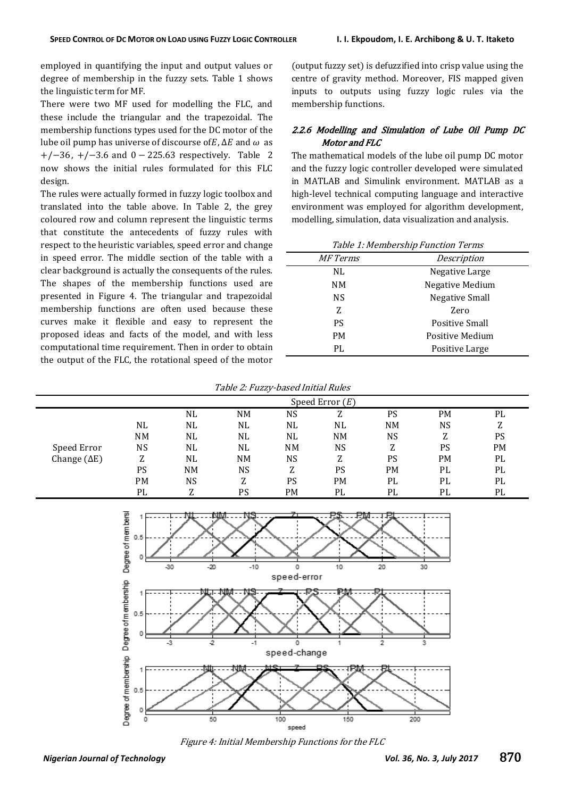employed in quantifying the input and output values or degree of membership in the fuzzy sets. Table 1 shows the linguistic term for MF.

There were two MF used for modelling the FLC, and these include the triangular and the trapezoidal. The membership functions types used for the DC motor of the lube oil pump has universe of discourse of  $E$ ,  $\Delta E$  and  $\omega$  as  $+/-36$ ,  $+/-3.6$  and 0 - 225.63 respectively. Table 2 now shows the initial rules formulated for this FLC design.

The rules were actually formed in fuzzy logic toolbox and translated into the table above. In Table 2, the grey coloured row and column represent the linguistic terms that constitute the antecedents of fuzzy rules with respect to the heuristic variables, speed error and change in speed error. The middle section of the table with a clear background is actually the consequents of the rules. The shapes of the membership functions used are presented in Figure 4. The triangular and trapezoidal membership functions are often used because these curves make it flexible and easy to represent the proposed ideas and facts of the model, and with less computational time requirement. Then in order to obtain the output of the FLC, the rotational speed of the motor

(output fuzzy set) is defuzzified into crisp value using the centre of gravity method. Moreover, FIS mapped given inputs to outputs using fuzzy logic rules via the membership functions.

# 2.2.6 Modelling and Simulation of Lube Oil Pump DC Motor and FLC

The mathematical models of the lube oil pump DC motor and the fuzzy logic controller developed were simulated in MATLAB and Simulink environment. MATLAB as a high-level technical computing language and interactive environment was employed for algorithm development, modelling, simulation, data visualization and analysis.

| Table 1: Membership Function Terms |                       |  |  |
|------------------------------------|-----------------------|--|--|
| <i>MF Terms</i>                    | Description           |  |  |
| NL                                 | Negative Large        |  |  |
| NΜ                                 | Negative Medium       |  |  |
| NS.                                | <b>Negative Small</b> |  |  |
| 7.                                 | Zero                  |  |  |
| PS                                 | Positive Small        |  |  |
| <b>PM</b>                          | Positive Medium       |  |  |
| PL                                 | Positive Large        |  |  |

Table 2: Fuzzy-based Initial Rules

|                     | Speed Error $(E)$ |           |    |           |           |           |    |           |
|---------------------|-------------------|-----------|----|-----------|-----------|-----------|----|-----------|
|                     |                   | NL        | NM | NS        | Z         | PS        | PM | PL        |
|                     | NL                | NL        | NL | <b>NL</b> | NL        | <b>NM</b> | NS | Z         |
|                     | NM                | NL        | NL | <b>NL</b> | <b>NM</b> | NS        | Z  | PS        |
| Speed Error         | NS                | NL        | NL | <b>NM</b> | NS        | Z         | PS | <b>PM</b> |
| Change $(\Delta E)$ | Z                 | NL        | NM | NS        | Z         | PS        | PM | PL        |
|                     | PS                | <b>NM</b> | NS | Z         | PS        | PМ        | PL | PL        |
|                     | <b>PM</b>         | NS        | Z  | <b>PS</b> | PM        | PL        | PL | PL        |
|                     | PL                | 7<br>L    | PS | <b>PM</b> | PL        | PL        | PL | PL        |



Figure 4: Initial Membership Functions for the FLC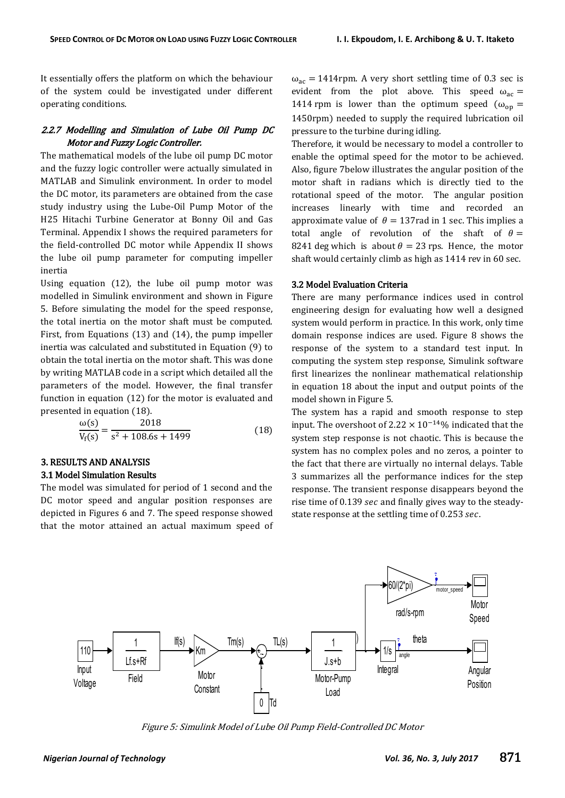It essentially offers the platform on which the behaviour of the system could be investigated under different operating conditions.

# 2.2.7 Modelling and Simulation of Lube Oil Pump DC Motor and Fuzzy Logic Controller.

The mathematical models of the lube oil pump DC motor and the fuzzy logic controller were actually simulated in MATLAB and Simulink environment. In order to model the DC motor, its parameters are obtained from the case study industry using the Lube-Oil Pump Motor of the H25 Hitachi Turbine Generator at Bonny Oil and Gas Terminal. Appendix I shows the required parameters for the field-controlled DC motor while Appendix II shows the lube oil pump parameter for computing impeller inertia

Using equation (12), the lube oil pump motor was modelled in Simulink environment and shown in Figure 5. Before simulating the model for the speed response, the total inertia on the motor shaft must be computed. First, from Equations (13) and (14), the pump impeller inertia was calculated and substituted in Equation (9) to obtain the total inertia on the motor shaft. This was done by writing MATLAB code in a script which detailed all the parameters of the model. However, the final transfer function in equation (12) for the motor is evaluated and presented in equation (18).

$$
\frac{\omega(s)}{V_f(s)} = \frac{2018}{s^2 + 108.6s + 1499} \tag{18}
$$

# 3. RESULTS AND ANALYSIS

# 3.1 Model Simulation Results

The model was simulated for period of 1 second and the DC motor speed and angular position responses are depicted in Figures 6 and 7. The speed response showed that the motor attained an actual maximum speed of

 $\omega_{\text{ac}} = 1414$ rpm. A very short settling time of 0.3 sec is evident from the plot above. This speed  $\omega_{ac}$  = 1414 rpm is lower than the optimum speed ( $\omega_{op}$  = 1450rpm) needed to supply the required lubrication oil pressure to the turbine during idling.

Therefore, it would be necessary to model a controller to enable the optimal speed for the motor to be achieved. Also, figure 7below illustrates the angular position of the motor shaft in radians which is directly tied to the rotational speed of the motor. The angular position increases linearly with time and recorded an approximate value of  $\theta = 137$  rad in 1 sec. This implies a total angle of revolution of the shaft of  $\theta =$ 8241 deg which is about  $\theta = 23$  rps. Hence, the motor shaft would certainly climb as high as 1414 rev in 60 sec.

## 3.2 Model Evaluation Criteria

There are many performance indices used in control engineering design for evaluating how well a designed system would perform in practice. In this work, only time domain response indices are used. Figure 8 shows the response of the system to a standard test input. In computing the system step response, Simulink software first linearizes the nonlinear mathematical relationship in equation 18 about the input and output points of the model shown in Figure 5.

The system has a rapid and smooth response to step input. The overshoot of 2.22  $\times$  10<sup>-14</sup>% indicated that the system step response is not chaotic. This is because the system has no complex poles and no zeros, a pointer to the fact that there are virtually no internal delays. Table 3 summarizes all the performance indices for the step response. The transient response disappears beyond the rise time of 0.139 sec and finally gives way to the steadystate response at the settling time of 0.253 sec.



Figure 5: Simulink Model of Lube Oil Pump Field-Controlled DC Motor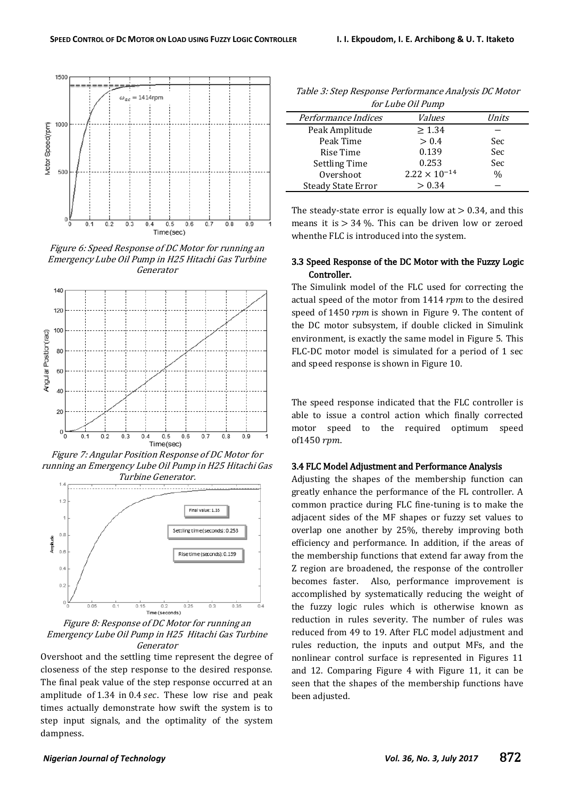

Figure 6: Speed Response of DC Motor for running an Emergency Lube Oil Pump in H25 Hitachi Gas Turbine Generator



Figure 7: Angular Position Response of DC Motor for running an Emergency Lube Oil Pump in H25 Hitachi Gas Turbine Generator.



Figure 8: Response of DC Motor for running an Emergency Lube Oil Pump in H25 Hitachi Gas Turbine Generator

Overshoot and the settling time represent the degree of closeness of the step response to the desired response. The final peak value of the step response occurred at an amplitude of  $1.34$  in  $0.4$  sec. These low rise and peak times actually demonstrate how swift the system is to step input signals, and the optimality of the system dampness.

Table 3: Step Response Performance Analysis DC Motor  $f(t)$   $f(t)$   $f(t)$ 

| <i>IOF LUDE OIL PUMP</i>  |                        |               |  |
|---------------------------|------------------------|---------------|--|
| Performance Indices       | Values                 | Units         |  |
| Peak Amplitude            | > 1.34                 |               |  |
| Peak Time                 | > 0.4                  | Sec           |  |
| Rise Time                 | 0.139                  | Sec           |  |
| <b>Settling Time</b>      | 0.253                  | Sec           |  |
| Overshoot                 | $2.22 \times 10^{-14}$ | $\frac{0}{0}$ |  |
| <b>Steady State Error</b> | > 0.34                 |               |  |

The steady-state error is equally low at  $> 0.34$ , and this means it is  $> 34$  %. This can be driven low or zeroed whenthe FLC is introduced into the system.

## 3.3 Speed Response of the DC Motor with the Fuzzy Logic Controller.

The Simulink model of the FLC used for correcting the actual speed of the motor from  $1414$  rpm to the desired speed of 1450  $rpm$  is shown in Figure 9. The content of the DC motor subsystem, if double clicked in Simulink environment, is exactly the same model in Figure 5. This FLC-DC motor model is simulated for a period of 1 sec and speed response is shown in Figure 10.

The speed response indicated that the FLC controller is able to issue a control action which finally corrected motor speed to the required optimum speed of 1450 rpm.

#### 3.4 FLC Model Adjustment and Performance Analysis

Adjusting the shapes of the membership function can greatly enhance the performance of the FL controller. A common practice during FLC fine-tuning is to make the adjacent sides of the MF shapes or fuzzy set values to overlap one another by 25%, thereby improving both efficiency and performance. In addition, if the areas of the membership functions that extend far away from the Z region are broadened, the response of the controller becomes faster. Also, performance improvement is accomplished by systematically reducing the weight of the fuzzy logic rules which is otherwise known as reduction in rules severity. The number of rules was reduced from 49 to 19. After FLC model adjustment and rules reduction, the inputs and output MFs, and the nonlinear control surface is represented in Figures 11 and 12. Comparing Figure 4 with Figure 11, it can be seen that the shapes of the membership functions have been adjusted.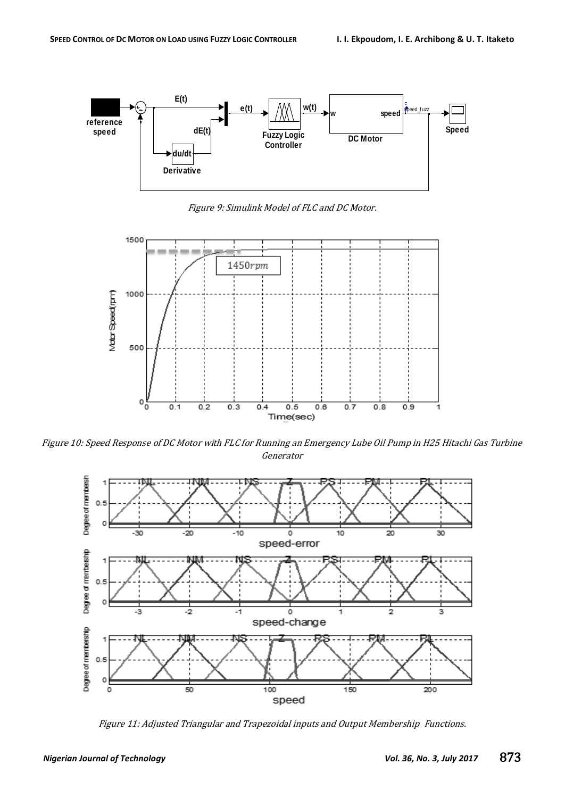

Figure 9: Simulink Model of FLC and DC Motor.



Figure 10: Speed Response of DC Motor with FLC for Running an Emergency Lube Oil Pump in H25 Hitachi Gas Turbine Generator



Figure 11: Adjusted Triangular and Trapezoidal inputs and Output Membership Functions.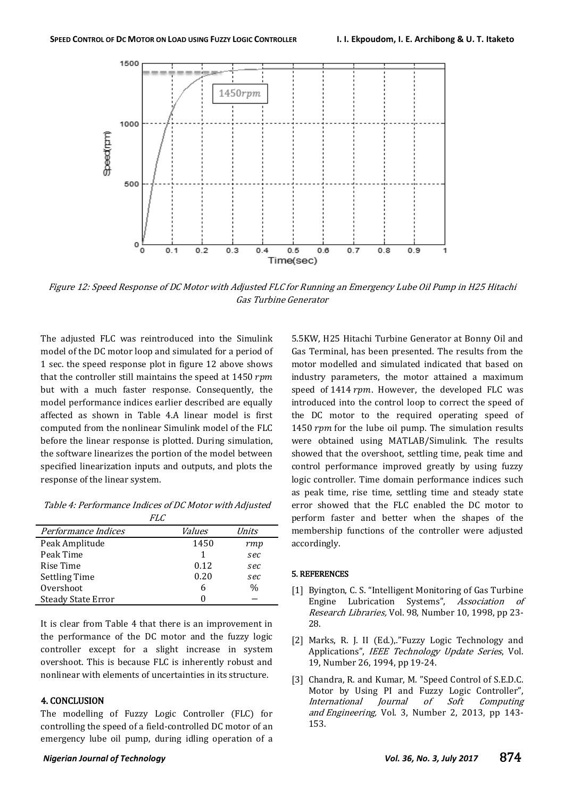

Figure 12: Speed Response of DC Motor with Adjusted FLC for Running an Emergency Lube Oil Pump in H25 Hitachi Gas Turbine Generator

The adjusted FLC was reintroduced into the Simulink model of the DC motor loop and simulated for a period of 1 sec. the speed response plot in figure 12 above shows that the controller still maintains the speed at  $1450$  rpm but with a much faster response. Consequently, the model performance indices earlier described are equally affected as shown in Table 4.A linear model is first computed from the nonlinear Simulink model of the FLC before the linear response is plotted. During simulation, the software linearizes the portion of the model between specified linearization inputs and outputs, and plots the response of the linear system.

Table 4: Performance Indices of DC Motor with Adjusted  $FIC$ 

| Performance Indices       | <i>Values</i> | Units         |
|---------------------------|---------------|---------------|
| Peak Amplitude            | 1450          | rmp           |
| Peak Time                 | 1             | sec           |
| Rise Time                 | 0.12          | sec           |
| <b>Settling Time</b>      | 0.20          | sec           |
| Overshoot                 | 6             | $\frac{0}{0}$ |
| <b>Steady State Error</b> |               |               |

It is clear from Table 4 that there is an improvement in the performance of the DC motor and the fuzzy logic controller except for a slight increase in system overshoot. This is because FLC is inherently robust and nonlinear with elements of uncertainties in its structure.

# 4. CONCLUSION

The modelling of Fuzzy Logic Controller (FLC) for controlling the speed of a field-controlled DC motor of an emergency lube oil pump, during idling operation of a

5.5KW, H25 Hitachi Turbine Generator at Bonny Oil and Gas Terminal, has been presented. The results from the motor modelled and simulated indicated that based on industry parameters, the motor attained a maximum speed of  $1414$  rpm. However, the developed FLC was introduced into the control loop to correct the speed of the DC motor to the required operating speed of 1450  $rpm$  for the lube oil pump. The simulation results were obtained using MATLAB/Simulink. The results showed that the overshoot, settling time, peak time and control performance improved greatly by using fuzzy logic controller. Time domain performance indices such as peak time, rise time, settling time and steady state error showed that the FLC enabled the DC motor to perform faster and better when the shapes of the membership functions of the controller were adjusted accordingly.

#### 5. REFERENCES

- [1] Byington, C. S. "Intelligent Monitoring of Gas Turbine Engine Lubrication Systems", Association of Research Libraries, Vol. 98, Number 10, 1998, pp 23- 28.
- [2] Marks, R. J. II (Ed.), "Fuzzy Logic Technology and Applications", IEEE Technology Update Series, Vol. 19, Number 26, 1994, pp 19-24.
- [3] Chandra, R. and Kumar, M. "Speed Control of S.E.D.C. Motor by Using PI and Fuzzy Logic Controller", International Journal of Soft Computing and Engineering, Vol. 3, Number 2, 2013, pp 143- 153.